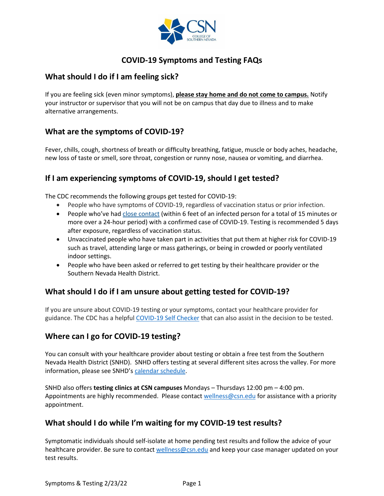

# **COVID-19 Symptoms and Testing FAQs**

### **What should I do if I am feeling sick?**

If you are feeling sick (even minor symptoms), **please stay home and do not come to campus.** Notify your instructor or supervisor that you will not be on campus that day due to illness and to make alternative arrangements.

## **What are the symptoms of COVID-19?**

Fever, chills, cough, shortness of breath or difficulty breathing, fatigue, muscle or body aches, headache, new loss of taste or smell, sore throat, congestion or runny nose, nausea or vomiting, and diarrhea.

## **If I am experiencing symptoms of COVID-19, should I get tested?**

The CDC recommends the following groups get tested for COVID-19:

- People who have symptoms of COVID-19, regardless of vaccination status or prior infection.
- People who've had [close contact](https://www.cdc.gov/coronavirus/2019-ncov/php/contact-tracing/contact-tracing-plan/appendix.html#contact) (within 6 feet of an infected person for a total of 15 minutes or more over a 24-hour period) with a confirmed case of COVID-19. Testing is recommended 5 days after exposure, regardless of vaccination status.
- Unvaccinated people who have taken part in activities that put them at higher risk for COVID-19 such as travel, attending large or mass gatherings, or being in crowded or poorly ventilated indoor settings.
- People who have been asked or referred to get testing by their healthcare provider or the Southern Nevada Health District.

## **What should I do if I am unsure about getting tested for COVID-19?**

If you are unsure about COVID-19 testing or your symptoms, contact your healthcare provider for guidance. The CDC has a helpful [COVID-19 Self Checker](https://www.cdc.gov/coronavirus/2019-ncov/symptoms-testing/coronavirus-self-checker.html) that can also assist in the decision to be tested.

#### **Where can I go for COVID-19 testing?**

You can consult with your healthcare provider about testing or obtain a free test from the Southern Nevada Health District (SNHD). SNHD offers testing at several different sites across the valley. For more information, please see SNHD'[s calendar schedule.](https://www.southernnevadahealthdistrict.org/covid-19-testing-sites/)

SNHD also offers **testing clinics at CSN campuses** Mondays – Thursdays 12:00 pm – 4:00 pm. Appointments are highly recommended. Please contact [wellness@csn.edu](mailto:wellness@csn.edu) for assistance with a priority appointment.

#### **What should I do while I'm waiting for my COVID-19 test results?**

Symptomatic individuals should self-isolate at home pending test results and follow the advice of your healthcare provider. Be sure to contact [wellness@csn.edu](mailto:wellness@csn.edu) and keep your case manager updated on your test results.